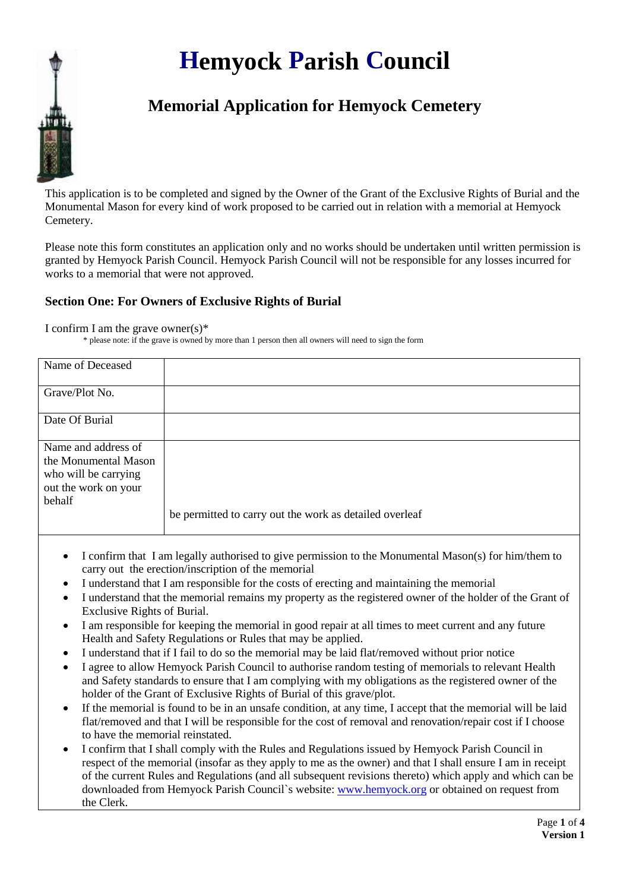## **Hemyock Parish Council**



This application is to be completed and signed by the Owner of the Grant of the Exclusive Rights of Burial and the Monumental Mason for every kind of work proposed to be carried out in relation with a memorial at Hemyock Cemetery.

Please note this form constitutes an application only and no works should be undertaken until written permission is granted by Hemyock Parish Council. Hemyock Parish Council will not be responsible for any losses incurred for works to a memorial that were not approved.

## **Section One: For Owners of Exclusive Rights of Burial**

I confirm I am the grave owner(s)\*

\* please note: if the grave is owned by more than 1 person then all owners will need to sign the form

| Name of Deceased     |                                                         |
|----------------------|---------------------------------------------------------|
|                      |                                                         |
|                      |                                                         |
| Grave/Plot No.       |                                                         |
|                      |                                                         |
|                      |                                                         |
|                      |                                                         |
| Date Of Burial       |                                                         |
|                      |                                                         |
|                      |                                                         |
| Name and address of  |                                                         |
|                      |                                                         |
| the Monumental Mason |                                                         |
| who will be carrying |                                                         |
|                      |                                                         |
| out the work on your |                                                         |
| behalf               |                                                         |
|                      |                                                         |
|                      | be permitted to carry out the work as detailed overleaf |
|                      |                                                         |
|                      |                                                         |

- I confirm that I am legally authorised to give permission to the Monumental Mason(s) for him/them to carry out the erection/inscription of the memorial
- I understand that I am responsible for the costs of erecting and maintaining the memorial
- I understand that the memorial remains my property as the registered owner of the holder of the Grant of Exclusive Rights of Burial.
- I am responsible for keeping the memorial in good repair at all times to meet current and any future Health and Safety Regulations or Rules that may be applied.
- I understand that if I fail to do so the memorial may be laid flat/removed without prior notice
- I agree to allow Hemyock Parish Council to authorise random testing of memorials to relevant Health and Safety standards to ensure that I am complying with my obligations as the registered owner of the holder of the Grant of Exclusive Rights of Burial of this grave/plot.
- If the memorial is found to be in an unsafe condition, at any time, I accept that the memorial will be laid flat/removed and that I will be responsible for the cost of removal and renovation/repair cost if I choose to have the memorial reinstated.
- I confirm that I shall comply with the Rules and Regulations issued by Hemyock Parish Council in respect of the memorial (insofar as they apply to me as the owner) and that I shall ensure I am in receipt of the current Rules and Regulations (and all subsequent revisions thereto) which apply and which can be downloaded from Hemyock Parish Council`s website: [www.hemyock.org](http://www.hemyock.org/) or obtained on request from the Clerk.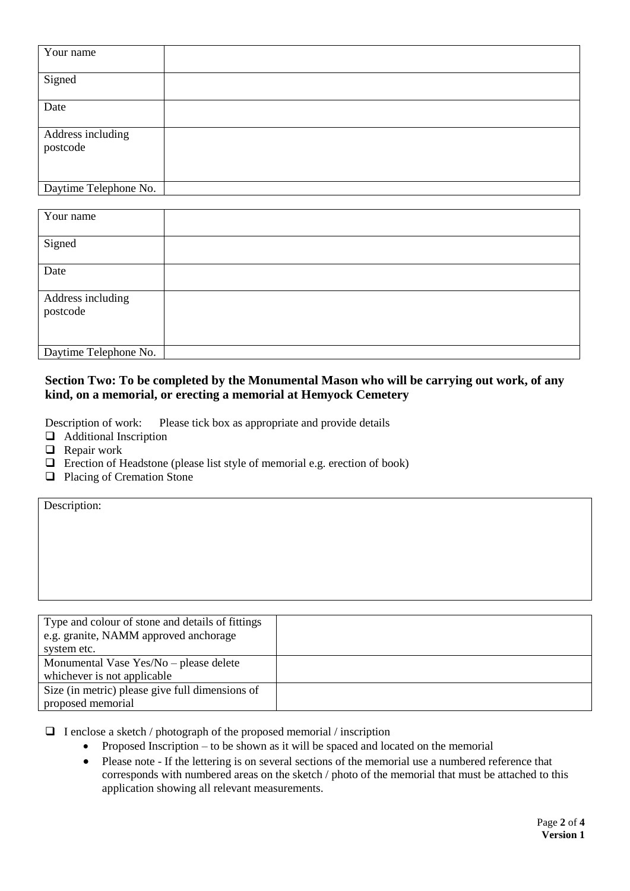| Your name                     |  |
|-------------------------------|--|
| Signed                        |  |
| Date                          |  |
| Address including<br>postcode |  |
| Daytime Telephone No.         |  |

| Your name             |  |
|-----------------------|--|
|                       |  |
| Signed                |  |
|                       |  |
| Date                  |  |
|                       |  |
| Address including     |  |
| postcode              |  |
|                       |  |
|                       |  |
| Daytime Telephone No. |  |

## **Section Two: To be completed by the Monumental Mason who will be carrying out work, of any kind, on a memorial, or erecting a memorial at Hemyock Cemetery**

Description of work: Please tick box as appropriate and provide details

- **Additional Inscription**
- $\Box$  Repair work

Description:

- $\Box$  Erection of Headstone (please list style of memorial e.g. erection of book)
- **Q** Placing of Cremation Stone

| Type and colour of stone and details of fittings |  |
|--------------------------------------------------|--|
| e.g. granite, NAMM approved anchorage            |  |
| system etc.                                      |  |
| Monumental Vase Yes/No – please delete           |  |
| whichever is not applicable                      |  |
| Size (in metric) please give full dimensions of  |  |
| proposed memorial                                |  |

 $\Box$  I enclose a sketch / photograph of the proposed memorial / inscription

- Proposed Inscription to be shown as it will be spaced and located on the memorial
- Please note If the lettering is on several sections of the memorial use a numbered reference that corresponds with numbered areas on the sketch / photo of the memorial that must be attached to this application showing all relevant measurements.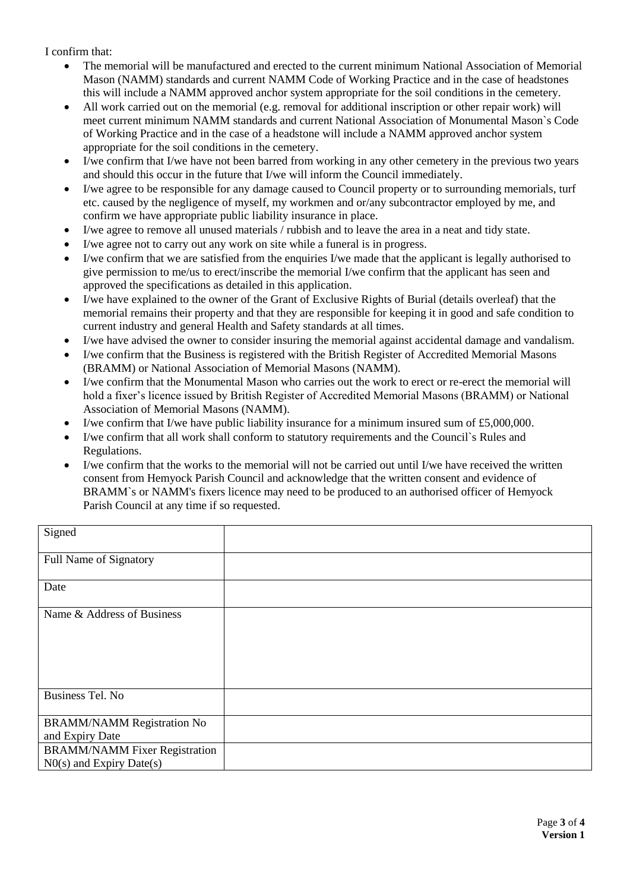I confirm that:

- The memorial will be manufactured and erected to the current minimum National Association of Memorial Mason (NAMM) standards and current NAMM Code of Working Practice and in the case of headstones this will include a NAMM approved anchor system appropriate for the soil conditions in the cemetery.
- All work carried out on the memorial (e.g. removal for additional inscription or other repair work) will meet current minimum NAMM standards and current National Association of Monumental Mason`s Code of Working Practice and in the case of a headstone will include a NAMM approved anchor system appropriate for the soil conditions in the cemetery.
- I/we confirm that I/we have not been barred from working in any other cemetery in the previous two years and should this occur in the future that I/we will inform the Council immediately.
- I/we agree to be responsible for any damage caused to Council property or to surrounding memorials, turf etc. caused by the negligence of myself, my workmen and or/any subcontractor employed by me, and confirm we have appropriate public liability insurance in place.
- I/we agree to remove all unused materials / rubbish and to leave the area in a neat and tidy state.
- I/we agree not to carry out any work on site while a funeral is in progress.
- I/we confirm that we are satisfied from the enquiries I/we made that the applicant is legally authorised to give permission to me/us to erect/inscribe the memorial I/we confirm that the applicant has seen and approved the specifications as detailed in this application.
- I/we have explained to the owner of the Grant of Exclusive Rights of Burial (details overleaf) that the memorial remains their property and that they are responsible for keeping it in good and safe condition to current industry and general Health and Safety standards at all times.
- I/we have advised the owner to consider insuring the memorial against accidental damage and vandalism.
- I/we confirm that the Business is registered with the British Register of Accredited Memorial Masons (BRAMM) or National Association of Memorial Masons (NAMM).
- I/we confirm that the Monumental Mason who carries out the work to erect or re-erect the memorial will hold a fixer's licence issued by British Register of Accredited Memorial Masons (BRAMM) or National Association of Memorial Masons (NAMM).
- I/we confirm that I/we have public liability insurance for a minimum insured sum of £5,000,000.
- I/we confirm that all work shall conform to statutory requirements and the Council`s Rules and Regulations.
- $\bullet$  I/we confirm that the works to the memorial will not be carried out until I/we have received the written consent from Hemyock Parish Council and acknowledge that the written consent and evidence of BRAMM`s or NAMM's fixers licence may need to be produced to an authorised officer of Hemyock Parish Council at any time if so requested.

| Signed                               |  |
|--------------------------------------|--|
| Full Name of Signatory               |  |
| Date                                 |  |
| Name & Address of Business           |  |
|                                      |  |
|                                      |  |
| Business Tel. No                     |  |
| <b>BRAMM/NAMM Registration No</b>    |  |
| and Expiry Date                      |  |
| <b>BRAMM/NAMM Fixer Registration</b> |  |
| $N0(s)$ and Expiry Date(s)           |  |